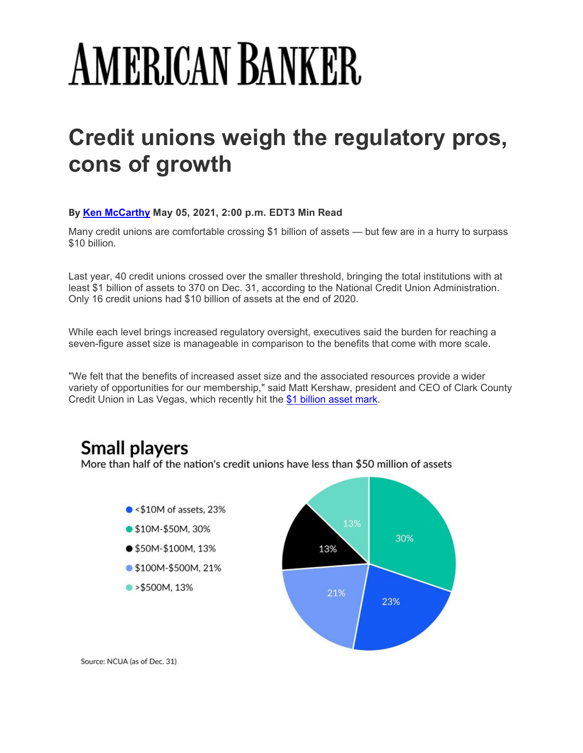# **AMERICAN BANKER**

## **Credit unions weigh the regulatory pros, cons of growth**

#### **By Ken McCarthy May 05, 2021, 2:00 p.m. EDT3 Min Read**

Many credit unions are comfortable crossing \$1 billion of assets — but few are in a hurry to surpass \$10 billion.

Last year, 40 credit unions crossed over the smaller threshold, bringing the total institutions with at least \$1 billion of assets to 370 on Dec. 31, according to the National Credit Union Administration. Only 16 credit unions had \$10 billion of assets at the end of 2020.

While each level brings increased regulatory oversight, executives said the burden for reaching a seven-figure asset size is manageable in comparison to the benefits that come with more scale.

"We felt that the benefits of increased asset size and the associated resources provide a wider variety of opportunities for our membership," said Matt Kershaw, president and CEO of Clark County Credit Union in Las Vegas, which recently hit the \$1 billion asset mark.

### **Small players**

More than half of the nation's credit unions have less than \$50 million of assets





Source: NCUA (as of Dec. 31)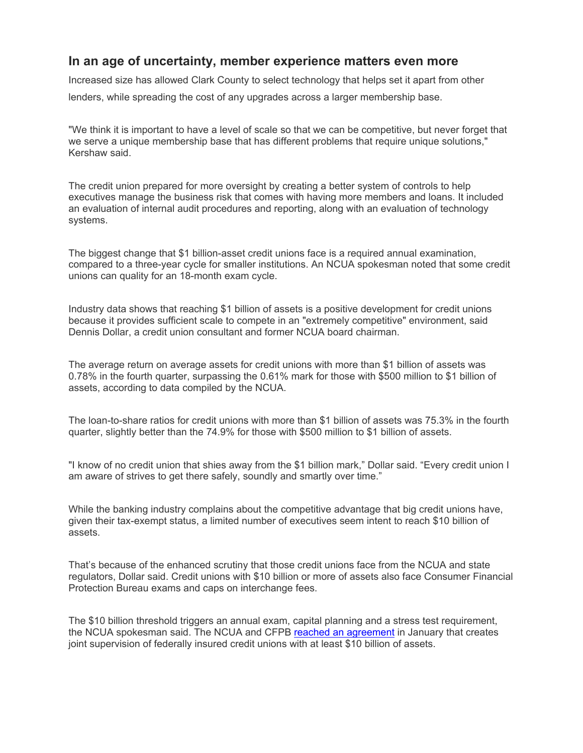#### **In an age of uncertainty, member experience matters even more**

Increased size has allowed Clark County to select technology that helps set it apart from other lenders, while spreading the cost of any upgrades across a larger membership base.

"We think it is important to have a level of scale so that we can be competitive, but never forget that we serve a unique membership base that has different problems that require unique solutions," Kershaw said.

The credit union prepared for more oversight by creating a better system of controls to help executives manage the business risk that comes with having more members and loans. It included an evaluation of internal audit procedures and reporting, along with an evaluation of technology systems.

The biggest change that \$1 billion-asset credit unions face is a required annual examination, compared to a three-year cycle for smaller institutions. An NCUA spokesman noted that some credit unions can quality for an 18-month exam cycle.

Industry data shows that reaching \$1 billion of assets is a positive development for credit unions because it provides sufficient scale to compete in an "extremely competitive" environment, said Dennis Dollar, a credit union consultant and former NCUA board chairman.

The average return on average assets for credit unions with more than \$1 billion of assets was 0.78% in the fourth quarter, surpassing the 0.61% mark for those with \$500 million to \$1 billion of assets, according to data compiled by the NCUA.

The loan-to-share ratios for credit unions with more than \$1 billion of assets was 75.3% in the fourth quarter, slightly better than the 74.9% for those with \$500 million to \$1 billion of assets.

"I know of no credit union that shies away from the \$1 billion mark," Dollar said. "Every credit union I am aware of strives to get there safely, soundly and smartly over time."

While the banking industry complains about the competitive advantage that big credit unions have, given their tax-exempt status, a limited number of executives seem intent to reach \$10 billion of assets.

That's because of the enhanced scrutiny that those credit unions face from the NCUA and state regulators, Dollar said. Credit unions with \$10 billion or more of assets also face Consumer Financial Protection Bureau exams and caps on interchange fees.

The \$10 billion threshold triggers an annual exam, capital planning and a stress test requirement, the NCUA spokesman said. The NCUA and CFPB reached an agreement in January that creates joint supervision of federally insured credit unions with at least \$10 billion of assets.